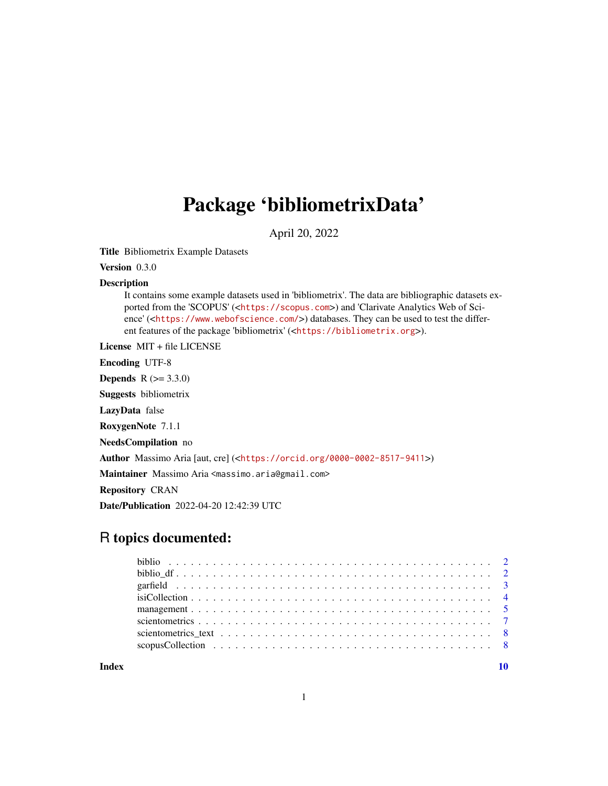## Package 'bibliometrixData'

April 20, 2022

<span id="page-0-0"></span>Title Bibliometrix Example Datasets

Version 0.3.0

#### Description

It contains some example datasets used in 'bibliometrix'. The data are bibliographic datasets exported from the 'SCOPUS' (<<https://scopus.com>>) and 'Clarivate Analytics Web of Science' (<<https://www.webofscience.com/>>) databases. They can be used to test the different features of the package 'bibliometrix' (<<https://bibliometrix.org>>).

License MIT + file LICENSE

Encoding UTF-8

**Depends**  $R (= 3.3.0)$ 

Suggests bibliometrix

LazyData false

RoxygenNote 7.1.1

NeedsCompilation no

Author Massimo Aria [aut, cre] (<<https://orcid.org/0000-0002-8517-9411>>)

Maintainer Massimo Aria <massimo.aria@gmail.com>

Repository CRAN

Date/Publication 2022-04-20 12:42:39 UTC

### R topics documented:

 $\blacksquare$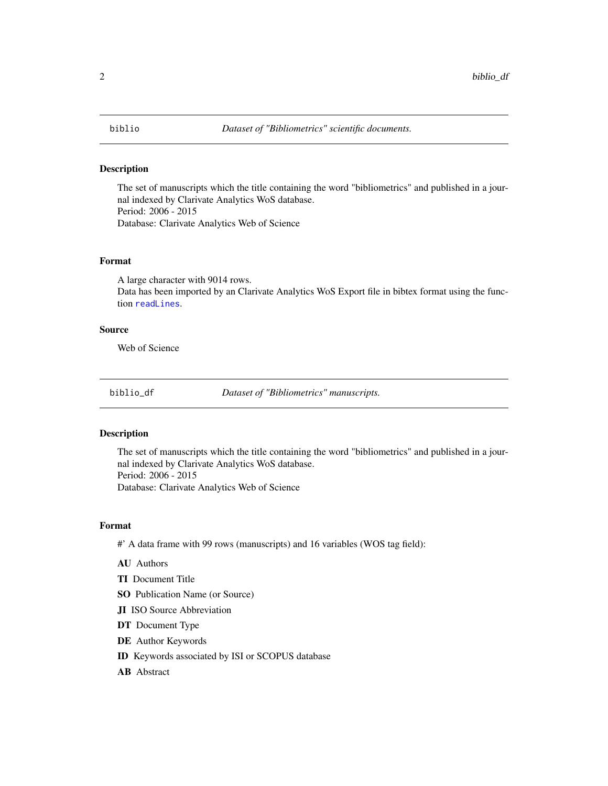#### <span id="page-1-0"></span>Description

The set of manuscripts which the title containing the word "bibliometrics" and published in a journal indexed by Clarivate Analytics WoS database. Period: 2006 - 2015 Database: Clarivate Analytics Web of Science

#### Format

A large character with 9014 rows.

Data has been imported by an Clarivate Analytics WoS Export file in bibtex format using the function [readLines](#page-0-0).

#### Source

Web of Science

biblio\_df *Dataset of "Bibliometrics" manuscripts.*

#### Description

The set of manuscripts which the title containing the word "bibliometrics" and published in a journal indexed by Clarivate Analytics WoS database. Period: 2006 - 2015 Database: Clarivate Analytics Web of Science

#### Format

#' A data frame with 99 rows (manuscripts) and 16 variables (WOS tag field):

- AU Authors
- TI Document Title
- SO Publication Name (or Source)
- JI ISO Source Abbreviation
- DT Document Type
- DE Author Keywords
- ID Keywords associated by ISI or SCOPUS database
- AB Abstract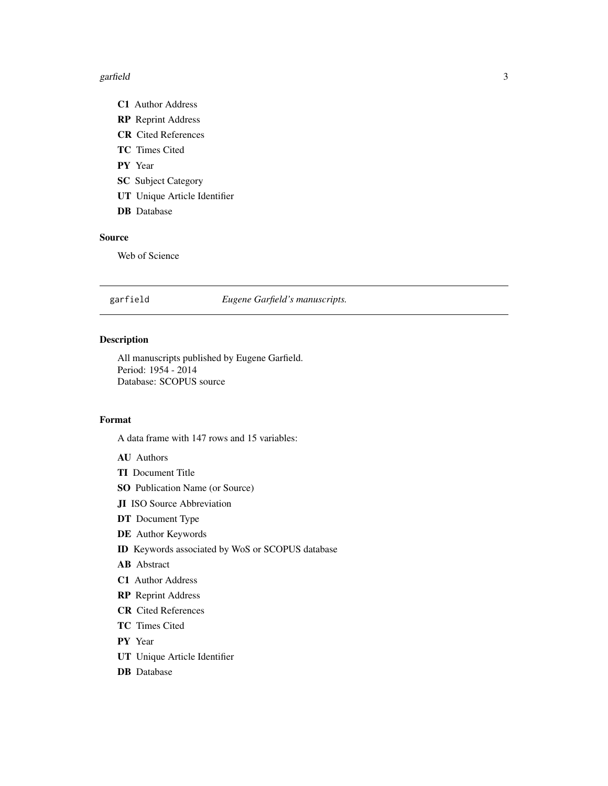#### <span id="page-2-0"></span> $g$ arfield  $\overline{3}$

- C1 Author Address
- RP Reprint Address
- CR Cited References
- TC Times Cited
- PY Year
- **SC** Subject Category
- UT Unique Article Identifier
- DB Database

#### Source

Web of Science

#### garfield *Eugene Garfield's manuscripts.*

#### Description

All manuscripts published by Eugene Garfield. Period: 1954 - 2014 Database: SCOPUS source

#### Format

A data frame with 147 rows and 15 variables:

- AU Authors
- TI Document Title
- SO Publication Name (or Source)
- JI ISO Source Abbreviation
- DT Document Type
- DE Author Keywords
- ID Keywords associated by WoS or SCOPUS database
- AB Abstract
- C1 Author Address
- RP Reprint Address
- CR Cited References
- TC Times Cited
- PY Year
- UT Unique Article Identifier
- DB Database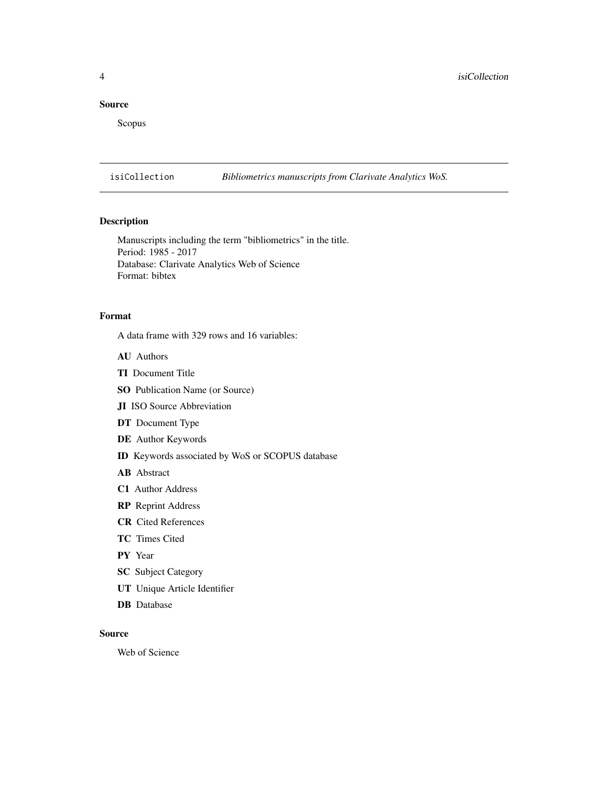#### <span id="page-3-0"></span>Source

Scopus

isiCollection *Bibliometrics manuscripts from Clarivate Analytics WoS.*

#### Description

Manuscripts including the term "bibliometrics" in the title. Period: 1985 - 2017 Database: Clarivate Analytics Web of Science Format: bibtex

#### Format

A data frame with 329 rows and 16 variables:

- AU Authors
- TI Document Title
- SO Publication Name (or Source)
- JI ISO Source Abbreviation
- DT Document Type
- DE Author Keywords
- ID Keywords associated by WoS or SCOPUS database
- AB Abstract
- C1 Author Address
- RP Reprint Address
- CR Cited References
- TC Times Cited
- PY Year
- SC Subject Category
- UT Unique Article Identifier
- DB Database

#### Source

Web of Science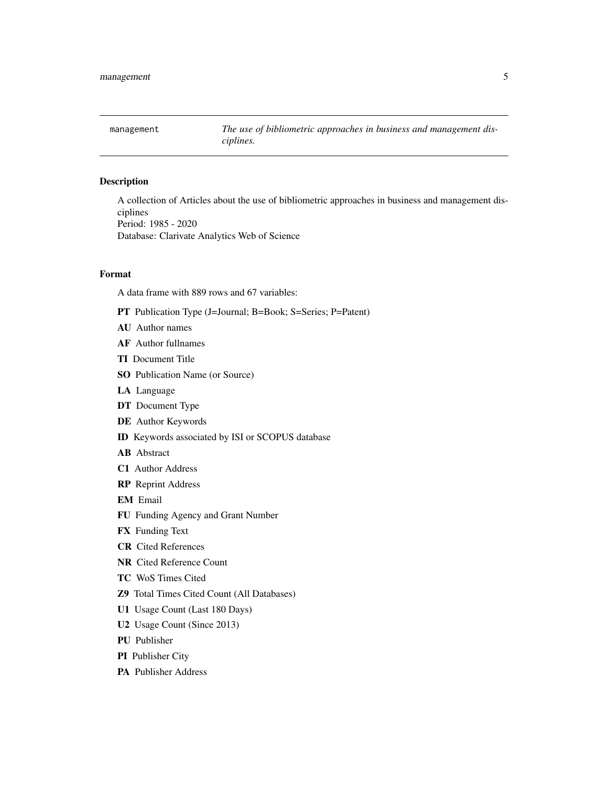<span id="page-4-0"></span>

#### Description

A collection of Articles about the use of bibliometric approaches in business and management disciplines Period: 1985 - 2020 Database: Clarivate Analytics Web of Science

#### Format

A data frame with 889 rows and 67 variables:

- PT Publication Type (J=Journal; B=Book; S=Series; P=Patent)
- AU Author names
- AF Author fullnames
- TI Document Title
- SO Publication Name (or Source)
- LA Language
- DT Document Type
- DE Author Keywords
- ID Keywords associated by ISI or SCOPUS database
- AB Abstract
- C1 Author Address
- RP Reprint Address
- EM Email
- FU Funding Agency and Grant Number
- FX Funding Text
- CR Cited References
- NR Cited Reference Count
- TC WoS Times Cited
- Z9 Total Times Cited Count (All Databases)
- U1 Usage Count (Last 180 Days)
- U2 Usage Count (Since 2013)
- PU Publisher
- PI Publisher City
- PA Publisher Address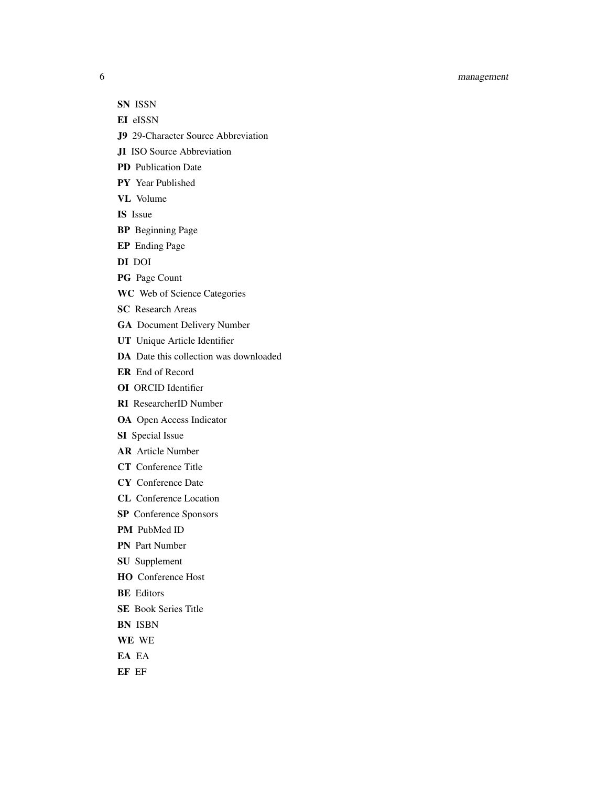#### 6 management

- SN ISSN
- EI eISSN
- J9 29-Character Source Abbreviation
- JI ISO Source Abbreviation
- PD Publication Date
- PY Year Published
- VL Volume
- IS Issue
- BP Beginning Page
- EP Ending Page
- DI DOI
- PG Page Count
- WC Web of Science Categories
- SC Research Areas
- GA Document Delivery Number
- UT Unique Article Identifier
- DA Date this collection was downloaded
- ER End of Record
- OI ORCID Identifier
- RI ResearcherID Number
- OA Open Access Indicator
- SI Special Issue
- AR Article Number
- CT Conference Title
- CY Conference Date
- CL Conference Location
- SP Conference Sponsors
- PM PubMed ID
- PN Part Number
- SU Supplement
- HO Conference Host
- BE Editors
- SE Book Series Title
- BN ISBN
- WE WE
- EA EA
- EF EF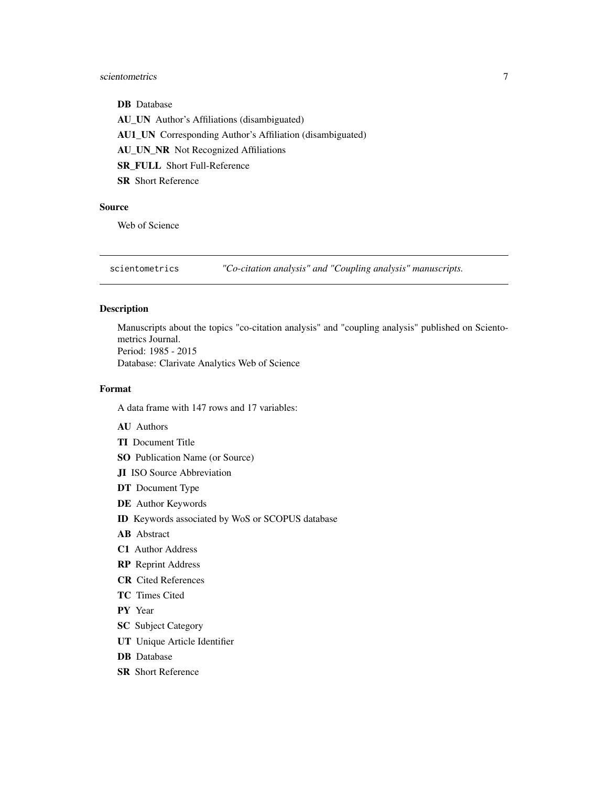#### <span id="page-6-0"></span>scientometrics 7

DB Database AU\_UN Author's Affiliations (disambiguated) AU1\_UN Corresponding Author's Affiliation (disambiguated) AU\_UN\_NR Not Recognized Affiliations SR\_FULL Short Full-Reference SR Short Reference

#### Source

Web of Science

scientometrics *"Co-citation analysis" and "Coupling analysis" manuscripts.*

#### Description

Manuscripts about the topics "co-citation analysis" and "coupling analysis" published on Scientometrics Journal. Period: 1985 - 2015 Database: Clarivate Analytics Web of Science

#### Format

A data frame with 147 rows and 17 variables:

- AU Authors
- TI Document Title
- SO Publication Name (or Source)
- JI ISO Source Abbreviation
- DT Document Type
- DE Author Keywords
- ID Keywords associated by WoS or SCOPUS database
- AB Abstract
- C1 Author Address
- RP Reprint Address
- CR Cited References
- TC Times Cited
- PY Year
- **SC** Subject Category
- UT Unique Article Identifier
- DB Database
- **SR** Short Reference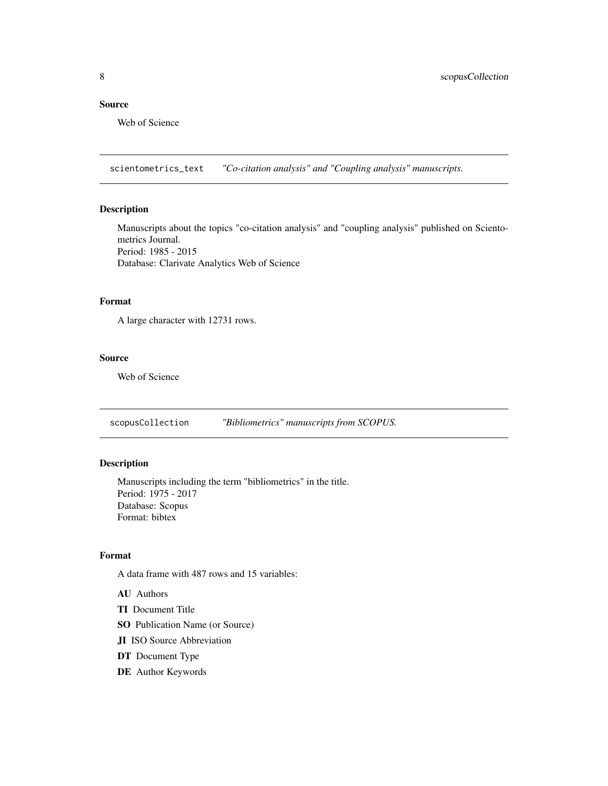#### <span id="page-7-0"></span>Source

Web of Science

scientometrics\_text *"Co-citation analysis" and "Coupling analysis" manuscripts.*

#### Description

Manuscripts about the topics "co-citation analysis" and "coupling analysis" published on Scientometrics Journal. Period: 1985 - 2015 Database: Clarivate Analytics Web of Science

#### Format

A large character with 12731 rows.

#### Source

Web of Science

scopusCollection *"Bibliometrics" manuscripts from SCOPUS.*

#### Description

Manuscripts including the term "bibliometrics" in the title. Period: 1975 - 2017 Database: Scopus Format: bibtex

#### Format

A data frame with 487 rows and 15 variables:

- AU Authors
- TI Document Title
- SO Publication Name (or Source)
- JI ISO Source Abbreviation
- DT Document Type
- DE Author Keywords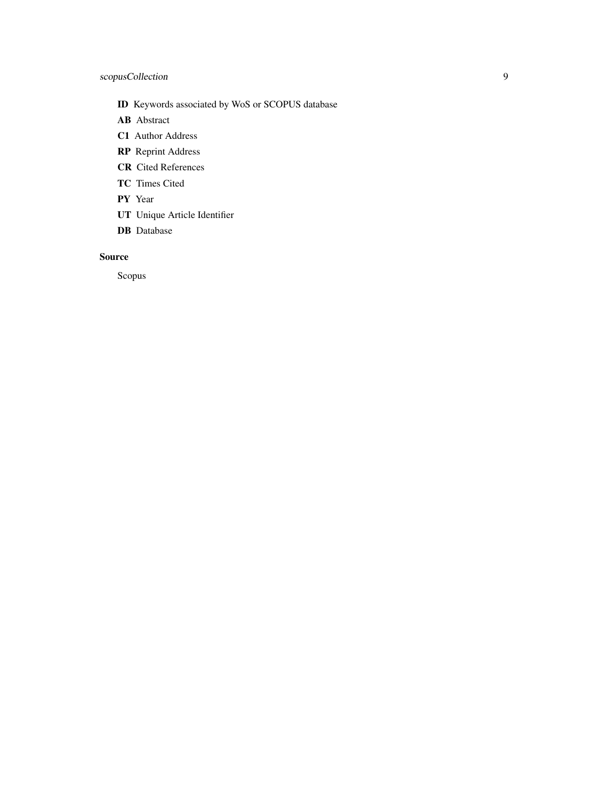#### scopusCollection 9

- ID Keywords associated by WoS or SCOPUS database
- AB Abstract
- C1 Author Address
- RP Reprint Address
- CR Cited References
- TC Times Cited
- PY Year
- UT Unique Article Identifier
- DB Database

#### Source

Scopus